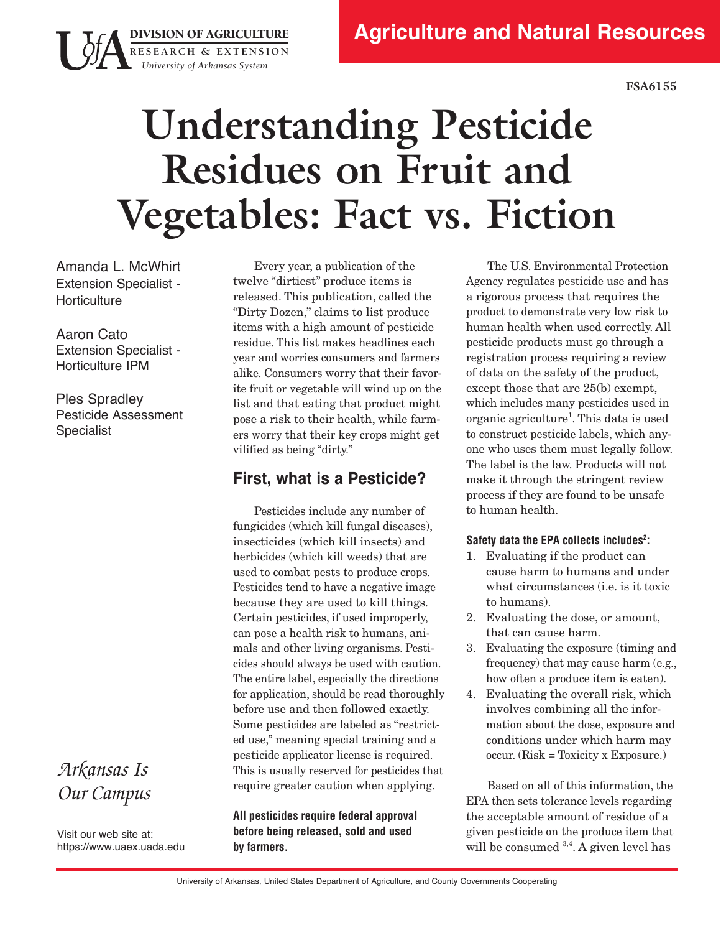**FSA6155**

# **Understanding Pesticide Residues on Fruit and Vegetables: Fact vs. Fiction**

Amanda L. McWhirt Extension Specialist - **Horticulture** 

DIVISION OF AGRICULTURE **RESEARCH & EXTENSION** *University of Arkansas System*

Aaron Cato Extension Specialist - Horticulture IPM

Ples Spradley Pesticide Assessment Specialist

## *Arkansas Is Our Campus*

Visit our web site at: <https://www.uaex.uada.edu>

Every year, a publication of the twelve "dirtiest" produce items is released. This publication, called the "Dirty Dozen," claims to list produce items with a high amount of pesticide residue. This list makes headlines each year and worries consumers and farmers alike. Consumers worry that their favorite fruit or vegetable will wind up on the list and that eating that product might pose a risk to their health, while farmers worry that their key crops might get vilified as being "dirty."

## **First, what is a Pesticide?**

Pesticides include any number of fungicides (which kill fungal diseases), insecticides (which kill insects) and herbicides (which kill weeds) that are used to combat pests to produce crops. Pesticides tend to have a negative image because they are used to kill things. Certain pesticides, if used improperly, can pose a health risk to humans, animals and other living organisms. Pesticides should always be used with caution. The entire label, especially the directions for application, should be read thoroughly before use and then followed exactly. Some pesticides are labeled as "restricted use," meaning special training and a pesticide applicator license is required. This is usually reserved for pesticides that require greater caution when applying.

**All pesticides require federal approval before being released, sold and used by farmers.**

The U.S. Environmental Protection Agency regulates pesticide use and has a rigorous process that requires the product to demonstrate very low risk to human health when used correctly. All pesticide products must go through a registration process requiring a review of data on the safety of the product, except those that are 25(b) exempt, which includes many pesticides used in organic agriculture<sup>1</sup>. This data is used to construct pesticide labels, which anyone who uses them must legally follow. The label is the law. Products will not make it through the stringent review process if they are found to be unsafe to human health.

#### **Safety data the EPA collects includes2 :**

- 1. Evaluating if the product can cause harm to humans and under what circumstances (i.e. is it toxic to humans).
- 2. Evaluating the dose, or amount, that can cause harm.
- 3. Evaluating the exposure (timing and frequency) that may cause harm (e.g., how often a produce item is eaten).
- 4. Evaluating the overall risk, which involves combining all the information about the dose, exposure and conditions under which harm may occur. (Risk = Toxicity x Exposure.)

Based on all of this information, the EPA then sets tolerance levels regarding the acceptable amount of residue of a given pesticide on the produce item that will be consumed  $3,4$ . A given level has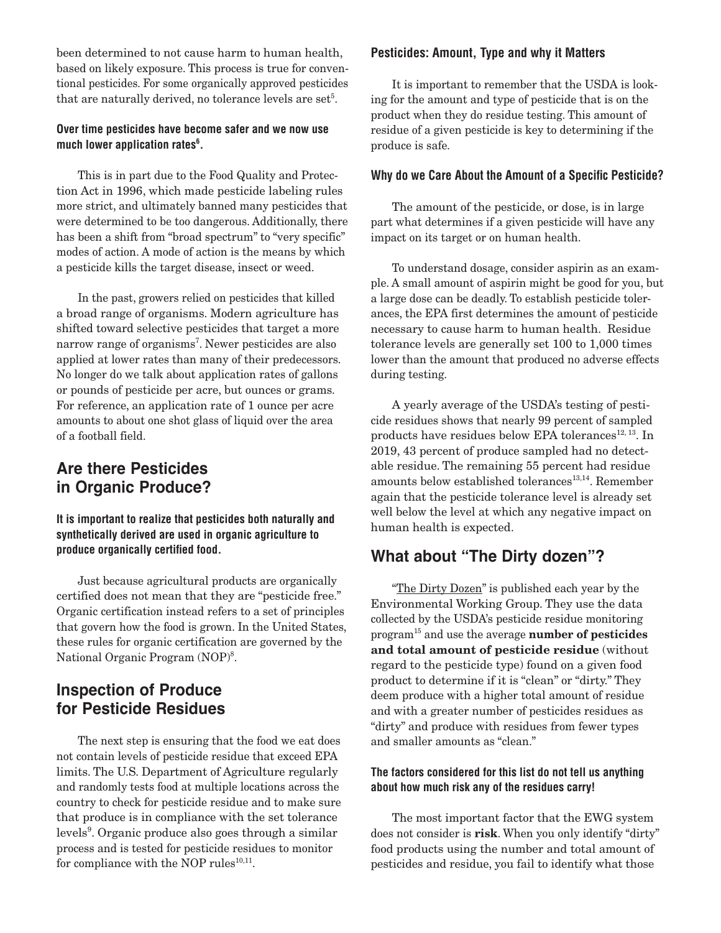been determined to not cause harm to human health, based on likely exposure. This process is true for conventional pesticides. For some organically approved pesticides that are naturally derived, no tolerance levels are set<sup>5</sup>.

#### **Over time pesticides have become safer and we now use**  much lower application rates<sup>6</sup>.

 This is in part due to the Food Quality and Protection Act in 1996, which made pesticide labeling rules more strict, and ultimately banned many pesticides that were determined to be too dangerous. Additionally, there has been a shift from "broad spectrum" to "very specific" modes of action. A mode of action is the means by which a pesticide kills the target disease, insect or weed.

 In the past, growers relied on pesticides that killed a broad range of organisms. Modern agriculture has shifted toward selective pesticides that target a more narrow range of organisms<sup>7</sup>. Newer pesticides are also applied at lower rates than many of their predecessors. No longer do we talk about application rates of gallons or pounds of pesticide per acre, but ounces or grams. For reference, an application rate of 1 ounce per acre amounts to about one shot glass of liquid over the area of a football field.

## **Are there Pesticides in Organic Produce?**

**It is important to realize that pesticides both naturally and synthetically derived are used in organic agriculture to produce organically certified food.**

 Just because agricultural products are organically certified does not mean that they are "pesticide free." Organic certification instead refers to a set of principles that govern how the food is grown. In the United States, these rules for organic certification are governed by the National Organic Program (NOP)<sup>8</sup>.

## **Inspection of Produce for Pesticide Residues**

 The next step is ensuring that the food we eat does not contain levels of pesticide residue that exceed EPA limits. The U.S. Department of Agriculture regularly and randomly tests food at multiple locations across the country to check for pesticide residue and to make sure that produce is in compliance with the set tolerance levels<sup>9</sup>. Organic produce also goes through a similar process and is tested for pesticide residues to monitor for compliance with the NOP rules $^{10,11}$ .

#### **Pesticides: Amount, Type and why it Matters**

 It is important to remember that the USDA is looking for the amount and type of pesticide that is on the product when they do residue testing. This amount of residue of a given pesticide is key to determining if the produce is safe.

#### **Why do we Care About the Amount of a Specific Pesticide?**

 The amount of the pesticide, or dose, is in large part what determines if a given pesticide will have any impact on its target or on human health.

 To understand dosage, consider aspirin as an example. A small amount of aspirin might be good for you, but a large dose can be deadly. To establish pesticide tolerances, the EPA first determines the amount of pesticide necessary to cause harm to human health. Residue tolerance levels are generally set 100 to 1,000 times lower than the amount that produced no adverse effects during testing.

A yearly average of the USDA's testing of pesticide residues shows that nearly 99 percent of sampled products have residues below EPA tolerances<sup>12, 13</sup>. In 2019, 43 percent of produce sampled had no detectable residue. The remaining 55 percent had residue amounts below established tolerances $13,14$ . Remember again that the pesticide tolerance level is already set well below the level at which any negative impact on human health is expected.

### **What about "The Dirty dozen"?**

"The Dirty Dozen" is published each year by the Environmental Working Group. They use the data collected by the USDA's pesticide residue monitoring program15 and use the average **number of pesticides and total amount of pesticide residue** (without regard to the pesticide type) found on a given food product to determine if it is "clean" or "dirty." They deem produce with a higher total amount of residue and with a greater number of pesticides residues as "dirty" and produce with residues from fewer types and smaller amounts as "clean."

#### **The factors considered for this list do not tell us anything about how much risk any of the residues carry!**

 The most important factor that the EWG system does not consider is **risk**. When you only identify "dirty" food products using the number and total amount of pesticides and residue, you fail to identify what those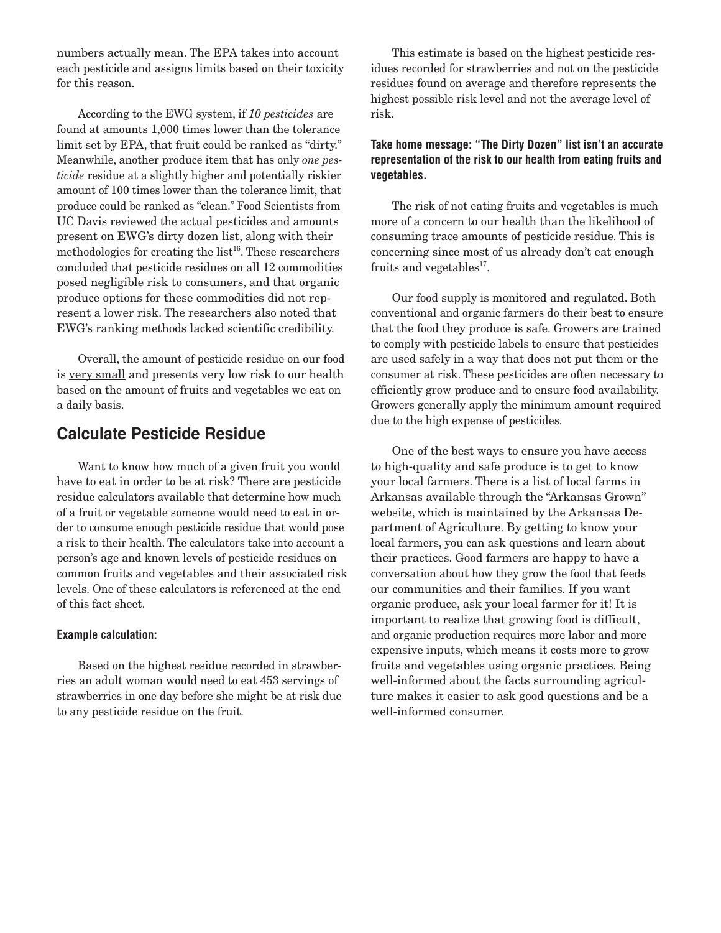numbers actually mean. The EPA takes into account each pesticide and assigns limits based on their toxicity for this reason.

 According to the EWG system, if *10 pesticides* are found at amounts 1,000 times lower than the tolerance limit set by EPA, that fruit could be ranked as "dirty." Meanwhile, another produce item that has only *one pesticide* residue at a slightly higher and potentially riskier amount of 100 times lower than the tolerance limit, that produce could be ranked as "clean." Food Scientists from UC Davis reviewed the actual pesticides and amounts present on EWG's dirty dozen list, along with their methodologies for creating the  $list^{16}$ . These researchers concluded that pesticide residues on all 12 commodities posed negligible risk to consumers, and that organic produce options for these commodities did not represent a lower risk. The researchers also noted that EWG's ranking methods lacked scientific credibility.

 Overall, the amount of pesticide residue on our food is very small and presents very low risk to our health based on the amount of fruits and vegetables we eat on a daily basis.

## **Calculate Pesticide Residue**

 Want to know how much of a given fruit you would have to eat in order to be at risk? There are pesticide residue calculators available that determine how much of a fruit or vegetable someone would need to eat in order to consume enough pesticide residue that would pose a risk to their health. The calculators take into account a person's age and known levels of pesticide residues on common fruits and vegetables and their associated risk levels. One of these calculators is referenced at the end of this fact sheet.

#### **Example calculation:**

 Based on the highest residue recorded in strawberries an adult woman would need to eat 453 servings of strawberries in one day before she might be at risk due to any pesticide residue on the fruit.

 This estimate is based on the highest pesticide residues recorded for strawberries and not on the pesticide residues found on average and therefore represents the highest possible risk level and not the average level of risk.

#### Take home message: "The Dirty Dozen" list isn't an accurate representation of the risk to our health from eating fruits and vegetables.

The risk of not eating fruits and vegetables is much more of a concern to our health than the likelihood of consuming trace amounts of pesticide residue. This is concerning since most of us already don't eat enough fruits and vegetables<sup>17</sup>.

Our food supply is monitored and regulated. Both conventional and organic farmers do their best to ensure that the food they produce is safe. Growers are trained to comply with pesticide labels to ensure that pesticides are used safely in a way that does not put them or the consumer at risk. These pesticides are often necessary to efficiently grow produce and to ensure food availability. Growers generally apply the minimum amount required due to the high expense of pesticides.

One of the best ways to ensure you have access to high-quality and safe produce is to get to know your local farmers. There is a list of local farms in Arkansas available through the "Arkansas Grown" website, which is maintained by the Arkansas Department of Agriculture. By getting to know your local farmers, you can ask questions and learn about their practices. Good farmers are happy to have a conversation about how they grow the food that feeds our communities and their families. If you want organic produce, ask your local farmer for it! It is important to realize that growing food is difficult, and organic production requires more labor and more expensive inputs, which means it costs more to grow fruits and vegetables using organic practices. Being well-informed about the facts surrounding agriculture makes it easier to ask good questions and be a well-informed consumer.